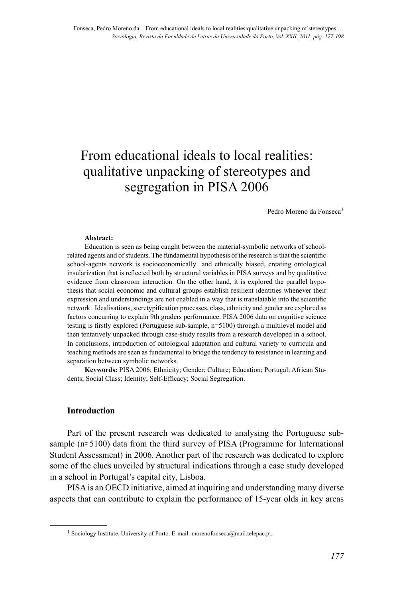# From educational ideals to local realities: qualitative unpacking of stereotypes and segregation in PISA 2006

Pedro Moreno da Fonseca<sup>1</sup>

#### **Abstract:**

Education is seen as being caught between the material-symbolic networks of schoolrelated agents and of students. The fundamental hypothesis of the research is that the scientific school-agents network is socioeconomically and ethnically biased, creating ontological insularization that is reflected both by structural variables in PISA surveys and by qualitative evidence from classroom interaction. On the other hand, it is explored the parallel hypothesis that social economic and cultural groups establish resilient identities whenever their expression and understandings are not enabled in a way that is translatable into the scientific network. Idealisations, steretypification processes, class, ethnicity and gender are explored as factors concurring to explain 9th graders performance. PISA 2006 data on cognitive science testing is firstly explored (Portuguese sub-sample, n=5100) through a multilevel model and then tentatively unpacked through case-study results from a research developed in a school. In conclusions, introduction of ontological adaptation and cultural variety to curricula and teaching methods are seen as fundamental to bridge the tendency to resistance in learning and separation between symbolic networks.

**Keywords:** PISA 2006; Ethnicity; Gender; Culture; Education; Portugal; African Students; Social Class; Identity; Self-Efficacy; Social Segregation.

#### **Introduction**

Part of the present research was dedicated to analysing the Portuguese subsample (n≈5100) data from the third survey of PISA (Programme for International Student Assessment) in 2006. Another part of the research was dedicated to explore some of the clues unveiled by structural indications through a case study developed in a school in Portugal's capital city, Lisboa.

PISA is an OECD initiative, aimed at inquiring and understanding many diverse aspects that can contribute to explain the performance of 15-year olds in key areas

<sup>&</sup>lt;sup>1</sup> Sociology Institute, University of Porto. E-mail: morenofonseca@mail.telepac.pt.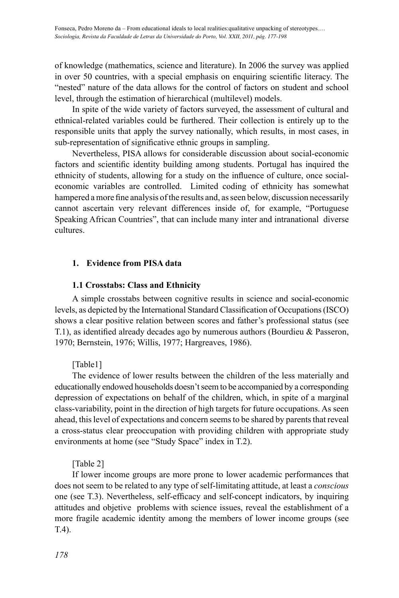of knowledge (mathematics, science and literature). In 2006 the survey was applied in over 50 countries, with a special emphasis on enquiring scientific literacy. The "nested" nature of the data allows for the control of factors on student and school level, through the estimation of hierarchical (multilevel) models.

In spite of the wide variety of factors surveyed, the assessment of cultural and ethnical-related variables could be furthered. Their collection is entirely up to the responsible units that apply the survey nationally, which results, in most cases, in sub-representation of significative ethnic groups in sampling.

Nevertheless, PISA allows for considerable discussion about social-economic factors and scientific identity building among students. Portugal has inquired the ethnicity of students, allowing for a study on the influence of culture, once socialeconomic variables are controlled. Limited coding of ethnicity has somewhat hampered a more fine analysis of the results and, as seen below, discussion necessarily cannot ascertain very relevant differences inside of, for example, "Portuguese Speaking African Countries", that can include many inter and intranational diverse cultures.

## **1. Evidence from PISA data**

## **1.1 Crosstabs: Class and Ethnicity**

A simple crosstabs between cognitive results in science and social-economic levels, as depicted by the International Standard Classification of Occupations (ISCO) shows a clear positive relation between scores and father's professional status (see T.1), as identified already decades ago by numerous authors (Bourdieu & Passeron, 1970; Bernstein, 1976; Willis, 1977; Hargreaves, 1986).

[Table1]

The evidence of lower results between the children of the less materially and educationally endowed households doesn't seem to be accompanied by a corresponding depression of expectations on behalf of the children, which, in spite of a marginal class-variability, point in the direction of high targets for future occupations. As seen ahead, this level of expectations and concern seems to be shared by parents that reveal a cross-status clear preoccupation with providing children with appropriate study environments at home (see "Study Space" index in T.2).

## [Table 2]

If lower income groups are more prone to lower academic performances that does not seem to be related to any type of self-limitating attitude, at least a *conscious* one (see T.3). Nevertheless, self-efficacy and self-concept indicators, by inquiring attitudes and objetive problems with science issues, reveal the establishment of a more fragile academic identity among the members of lower income groups (see T.4).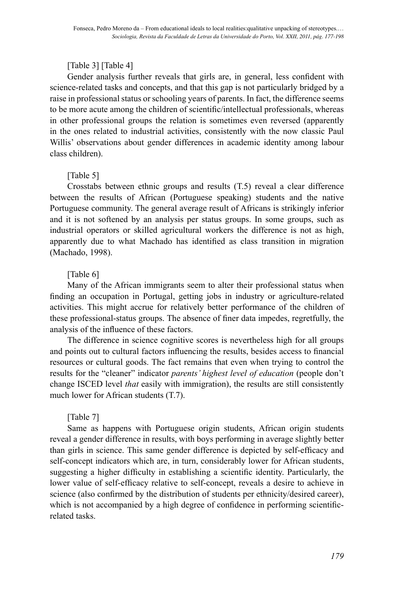## [Table 3] [Table 4]

Gender analysis further reveals that girls are, in general, less confident with science-related tasks and concepts, and that this gap is not particularly bridged by a raise in professional status or schooling years of parents. In fact, the difference seems to be more acute among the children of scientific/intellectual professionals, whereas in other professional groups the relation is sometimes even reversed (apparently in the ones related to industrial activities, consistently with the now classic Paul Willis' observations about gender differences in academic identity among labour class children).

# [Table 5]

Crosstabs between ethnic groups and results (T.5) reveal a clear difference between the results of African (Portuguese speaking) students and the native Portuguese community. The general average result of Africans is strikingly inferior and it is not softened by an analysis per status groups. In some groups, such as industrial operators or skilled agricultural workers the difference is not as high, apparently due to what Machado has identified as class transition in migration (Machado, 1998).

# [Table 6]

Many of the African immigrants seem to alter their professional status when finding an occupation in Portugal, getting jobs in industry or agriculture-related activities. This might accrue for relatively better performance of the children of these professional-status groups. The absence of finer data impedes, regretfully, the analysis of the influence of these factors.

The difference in science cognitive scores is nevertheless high for all groups and points out to cultural factors influencing the results, besides access to financial resources or cultural goods. The fact remains that even when trying to control the results for the "cleaner" indicator *parents' highest level of education* (people don't change ISCED level *that* easily with immigration), the results are still consistently much lower for African students (T.7).

# [Table 7]

Same as happens with Portuguese origin students, African origin students reveal a gender difference in results, with boys performing in average slightly better than girls in science. This same gender difference is depicted by self-efficacy and self-concept indicators which are, in turn, considerably lower for African students, suggesting a higher difficulty in establishing a scientific identity. Particularly, the lower value of self-efficacy relative to self-concept, reveals a desire to achieve in science (also confirmed by the distribution of students per ethnicity/desired career), which is not accompanied by a high degree of confidence in performing scientificrelated tasks.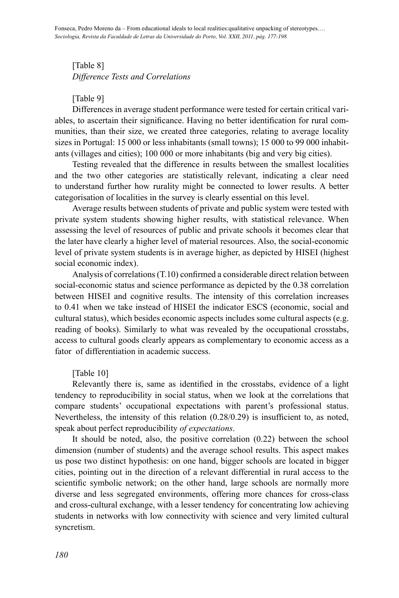# [Table 8] *Difference Tests and Correlations*

## [Table 9]

Differences in average student performance were tested for certain critical variables, to ascertain their significance. Having no better identification for rural communities, than their size, we created three categories, relating to average locality sizes in Portugal: 15 000 or less inhabitants (small towns); 15 000 to 99 000 inhabitants (villages and cities); 100 000 or more inhabitants (big and very big cities).

Testing revealed that the difference in results between the smallest localities and the two other categories are statistically relevant, indicating a clear need to understand further how rurality might be connected to lower results. A better categorisation of localities in the survey is clearly essential on this level.

Average results between students of private and public system were tested with private system students showing higher results, with statistical relevance. When assessing the level of resources of public and private schools it becomes clear that the later have clearly a higher level of material resources. Also, the social-economic level of private system students is in average higher, as depicted by HISEI (highest social economic index).

Analysis of correlations (T.10) confirmed a considerable direct relation between social-economic status and science performance as depicted by the 0.38 correlation between HISEI and cognitive results. The intensity of this correlation increases to 0.41 when we take instead of HISEI the indicator ESCS (economic, social and cultural status), which besides economic aspects includes some cultural aspects (e.g. reading of books). Similarly to what was revealed by the occupational crosstabs, access to cultural goods clearly appears as complementary to economic access as a fator of differentiation in academic success.

## [Table 10]

Relevantly there is, same as identified in the crosstabs, evidence of a light tendency to reproducibility in social status, when we look at the correlations that compare students' occupational expectations with parent's professional status. Nevertheless, the intensity of this relation (0.28/0.29) is insufficient to, as noted, speak about perfect reproducibility *of expectations*.

It should be noted, also, the positive correlation (0.22) between the school dimension (number of students) and the average school results. This aspect makes us pose two distinct hypothesis: on one hand, bigger schools are located in bigger cities, pointing out in the direction of a relevant differential in rural access to the scientific symbolic network; on the other hand, large schools are normally more diverse and less segregated environments, offering more chances for cross-class and cross-cultural exchange, with a lesser tendency for concentrating low achieving students in networks with low connectivity with science and very limited cultural syncretism.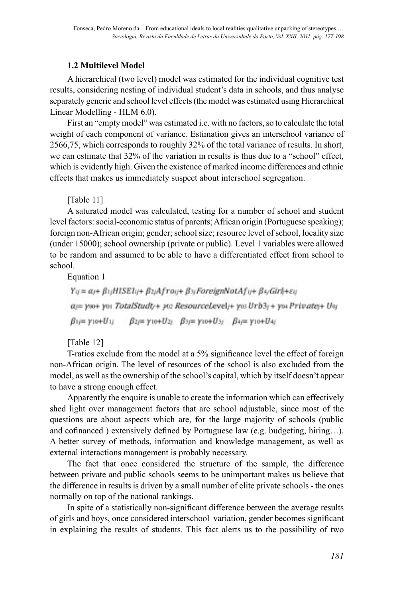# **1.2 Multilevel Model**

A hierarchical (two level) model was estimated for the individual cognitive test results, considering nesting of individual student's data in schools, and thus analyse separately generic and school level effects (the model was estimated using Hierarchical Linear Modelling - HLM 6.0).

First an "empty model" was estimated i.e. with no factors, so to calculate the total weight of each component of variance. Estimation gives an interschool variance of 2566,75, which corresponds to roughly 32% of the total variance of results. In short, we can estimate that 32% of the variation in results is thus due to a "school" effect, which is evidently high. Given the existence of marked income differences and ethnic effects that makes us immediately suspect about interschool segregation.

[Table 11]

A saturated model was calculated, testing for a number of school and student level factors: social-economic status of parents; African origin (Portuguese speaking); foreign non-African origin; gender; school size; resource level of school, locality size (under 15000); school ownership (private or public). Level 1 variables were allowed to be random and assumed to be able to have a differentiated effect from school to school.

Equation 1

 $Y_{ij} = \alpha_{i} + \beta_{1i}HISEI_{ij} + \beta_{2i}Afrou + \beta_{3i}ForeignNotAf_{ij} + \beta_{4i}Girl_i + \varepsilon_{ij}$  $\alpha =$  yoo+ yoi TotalStudt/+ yoz ResourceLevel/+ yos Urb3/+ yoi Private/+ Uoj  $\beta_{1j} = \gamma_{10} + U_{1j}$   $\beta_{2j} = \gamma_{10} + U_{2j}$   $\beta_{3j} = \gamma_{10} + U_{3j}$   $\beta_{4j} = \gamma_{10} + U_{4j}$ 

[Table 12]

T-ratios exclude from the model at a 5% significance level the effect of foreign non-African origin. The level of resources of the school is also excluded from the model, as well as the ownership of the school's capital, which by itself doesn't appear to have a strong enough effect.

Apparently the enquire is unable to create the information which can effectively shed light over management factors that are school adjustable, since most of the questions are about aspects which are, for the large majority of schools (public and cofinanced ) extensively defined by Portuguese law (e.g. budgeting, hiring…). A better survey of methods, information and knowledge management, as well as external interactions management is probably necessary.

The fact that once considered the structure of the sample, the difference between private and public schools seems to be unimportant makes us believe that the difference in results is driven by a small number of elite private schools - the ones normally on top of the national rankings.

In spite of a statistically non-significant difference between the average results of girls and boys, once considered interschool variation, gender becomes significant in explaining the results of students. This fact alerts us to the possibility of two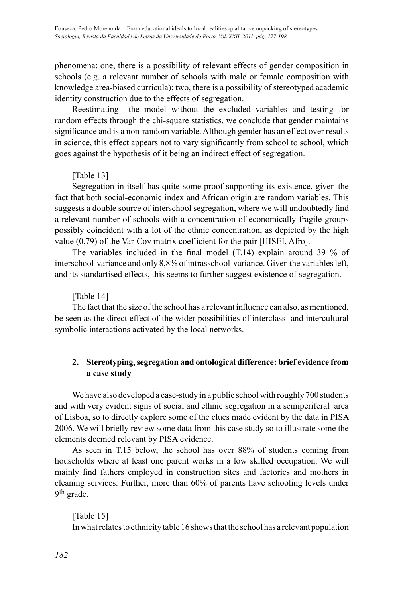phenomena: one, there is a possibility of relevant effects of gender composition in schools (e.g. a relevant number of schools with male or female composition with knowledge area-biased curricula); two, there is a possibility of stereotyped academic identity construction due to the effects of segregation.

Reestimating the model without the excluded variables and testing for random effects through the chi-square statistics, we conclude that gender maintains significance and is a non-random variable. Although gender has an effect over results in science, this effect appears not to vary significantly from school to school, which goes against the hypothesis of it being an indirect effect of segregation.

## [Table 13]

Segregation in itself has quite some proof supporting its existence, given the fact that both social-economic index and African origin are random variables. This suggests a double source of interschool segregation, where we will undoubtedly find a relevant number of schools with a concentration of economically fragile groups possibly coincident with a lot of the ethnic concentration, as depicted by the high value (0,79) of the Var-Cov matrix coefficient for the pair [HISEI, Afro].

The variables included in the final model (T.14) explain around 39 % of interschool variance and only 8,8% of intrasschool variance. Given the variables left, and its standartised effects, this seems to further suggest existence of segregation.

## [Table 14]

The fact that the size of the school has a relevant influence can also, as mentioned, be seen as the direct effect of the wider possibilities of interclass and intercultural symbolic interactions activated by the local networks.

## **2. Stereotyping, segregation and ontological difference: brief evidence from a case study**

We have also developed a case-study in a public school with roughly 700 students and with very evident signs of social and ethnic segregation in a semiperiferal area of Lisboa, so to directly explore some of the clues made evident by the data in PISA 2006. We will briefly review some data from this case study so to illustrate some the elements deemed relevant by PISA evidence.

As seen in T.15 below, the school has over 88% of students coming from households where at least one parent works in a low skilled occupation. We will mainly find fathers employed in construction sites and factories and mothers in cleaning services. Further, more than 60% of parents have schooling levels under 9th grade.

[Table 15] In what relates to ethnicity table 16 shows that the school has a relevant population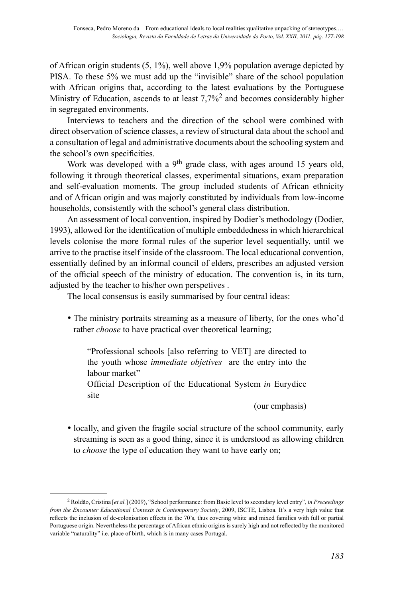of African origin students  $(5, 1\%)$ , well above 1,9% population average depicted by PISA. To these 5% we must add up the "invisible" share of the school population with African origins that, according to the latest evaluations by the Portuguese Ministry of Education, ascends to at least 7,7%<sup>2</sup> and becomes considerably higher in segregated environments.

Interviews to teachers and the direction of the school were combined with direct observation of science classes, a review of structural data about the school and a consultation of legal and administrative documents about the schooling system and the school's own specificities.

Work was developed with a 9<sup>th</sup> grade class, with ages around 15 years old, following it through theoretical classes, experimental situations, exam preparation and self-evaluation moments. The group included students of African ethnicity and of African origin and was majorly constituted by individuals from low-income households, consistently with the school's general class distribution.

An assessment of local convention, inspired by Dodier's methodology (Dodier, 1993), allowed for the identification of multiple embeddedness in which hierarchical levels colonise the more formal rules of the superior level sequentially, until we arrive to the practise itself inside of the classroom. The local educational convention, essentially defined by an informal council of elders, prescribes an adjusted version of the official speech of the ministry of education. The convention is, in its turn, adjusted by the teacher to his/her own perspetives .

The local consensus is easily summarised by four central ideas:

• The ministry portraits streaming as a measure of liberty, for the ones who'd rather *choose* to have practical over theoretical learning;

"Professional schools [also referring to VET] are directed to the youth whose *immediate objetives* are the entry into the labour market"

Official Description of the Educational System *in* Eurydice site

(our emphasis)

• locally, and given the fragile social structure of the school community, early streaming is seen as a good thing, since it is understood as allowing children to *choose* the type of education they want to have early on;

<sup>2</sup> Roldão, Cristina [*et al.*] (2009), "School performance: from Basic level to secondary level entry", *in Preceedings from the Encounter Educational Contexts in Contemporary Society*, 2009, ISCTE, Lisboa. It's a very high value that reflects the inclusion of de-colonisation effects in the 70's, thus covering white and mixed families with full or partial Portuguese origin. Nevertheless the percentage of African ethnic origins is surely high and not reflected by the monitored variable "naturality" i.e. place of birth, which is in many cases Portugal.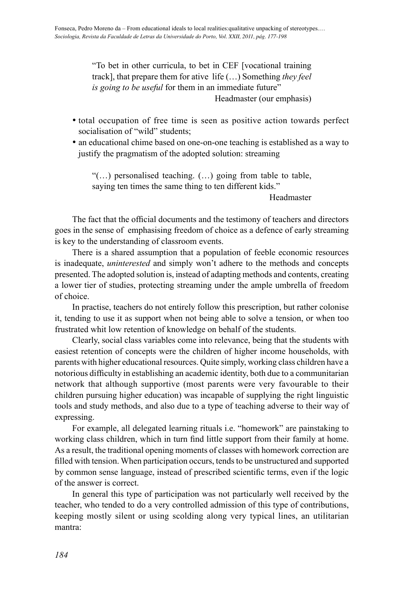"To bet in other curricula, to bet in CEF [vocational training track], that prepare them for ative life (…) Something *they feel is going to be useful* for them in an immediate future"

Headmaster (our emphasis)

- total occupation of free time is seen as positive action towards perfect socialisation of "wild" students;
- an educational chime based on one-on-one teaching is established as a way to justify the pragmatism of the adopted solution: streaming

"(…) personalised teaching. (…) going from table to table, saying ten times the same thing to ten different kids."

Headmaster

The fact that the official documents and the testimony of teachers and directors goes in the sense of emphasising freedom of choice as a defence of early streaming is key to the understanding of classroom events.

There is a shared assumption that a population of feeble economic resources is inadequate, *uninterested* and simply won't adhere to the methods and concepts presented. The adopted solution is, instead of adapting methods and contents, creating a lower tier of studies, protecting streaming under the ample umbrella of freedom of choice.

In practise, teachers do not entirely follow this prescription, but rather colonise it, tending to use it as support when not being able to solve a tension, or when too frustrated whit low retention of knowledge on behalf of the students.

Clearly, social class variables come into relevance, being that the students with easiest retention of concepts were the children of higher income households, with parents with higher educational resources. Quite simply, working class children have a notorious difficulty in establishing an academic identity, both due to a communitarian network that although supportive (most parents were very favourable to their children pursuing higher education) was incapable of supplying the right linguistic tools and study methods, and also due to a type of teaching adverse to their way of expressing.

For example, all delegated learning rituals i.e. "homework" are painstaking to working class children, which in turn find little support from their family at home. As a result, the traditional opening moments of classes with homework correction are filled with tension. When participation occurs, tends to be unstructured and supported by common sense language, instead of prescribed scientific terms, even if the logic of the answer is correct.

In general this type of participation was not particularly well received by the teacher, who tended to do a very controlled admission of this type of contributions, keeping mostly silent or using scolding along very typical lines, an utilitarian mantra: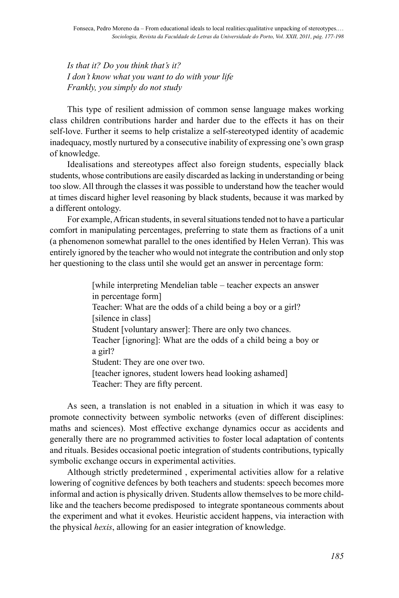*Is that it? Do you think that's it? I don't know what you want to do with your life Frankly, you simply do not study*

This type of resilient admission of common sense language makes working class children contributions harder and harder due to the effects it has on their self-love. Further it seems to help cristalize a self-stereotyped identity of academic inadequacy, mostly nurtured by a consecutive inability of expressing one's own grasp of knowledge.

Idealisations and stereotypes affect also foreign students, especially black students, whose contributions are easily discarded as lacking in understanding or being too slow. All through the classes it was possible to understand how the teacher would at times discard higher level reasoning by black students, because it was marked by a different ontology.

For example, African students, in several situations tended not to have a particular comfort in manipulating percentages, preferring to state them as fractions of a unit (a phenomenon somewhat parallel to the ones identified by Helen Verran). This was entirely ignored by the teacher who would not integrate the contribution and only stop her questioning to the class until she would get an answer in percentage form:

> [while interpreting Mendelian table – teacher expects an answer in percentage form] Teacher: What are the odds of a child being a boy or a girl? [silence in class] Student [voluntary answer]: There are only two chances. Teacher [ignoring]: What are the odds of a child being a boy or a girl? Student: They are one over two. [teacher ignores, student lowers head looking ashamed] Teacher: They are fifty percent.

As seen, a translation is not enabled in a situation in which it was easy to promote connectivity between symbolic networks (even of different disciplines: maths and sciences). Most effective exchange dynamics occur as accidents and generally there are no programmed activities to foster local adaptation of contents and rituals. Besides occasional poetic integration of students contributions, typically symbolic exchange occurs in experimental activities.

Although strictly predetermined , experimental activities allow for a relative lowering of cognitive defences by both teachers and students: speech becomes more informal and action is physically driven. Students allow themselves to be more childlike and the teachers become predisposed to integrate spontaneous comments about the experiment and what it evokes. Heuristic accident happens, via interaction with the physical *hexis*, allowing for an easier integration of knowledge.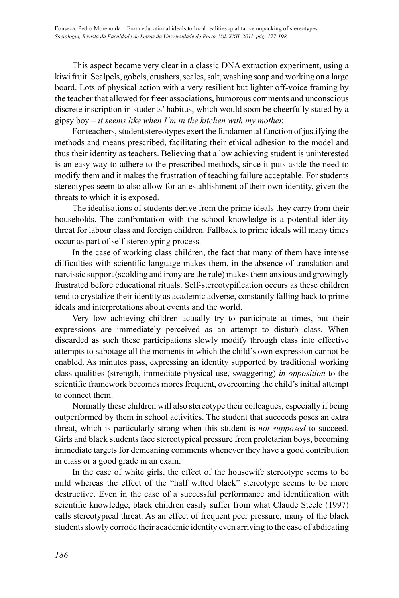This aspect became very clear in a classic DNA extraction experiment, using a kiwi fruit. Scalpels, gobels, crushers, scales, salt, washing soap and working on a large board. Lots of physical action with a very resilient but lighter off-voice framing by the teacher that allowed for freer associations, humorous comments and unconscious discrete inscription in students' habitus, which would soon be cheerfully stated by a gipsy boy – *it seems like when I'm in the kitchen with my mother.*

For teachers, student stereotypes exert the fundamental function of justifying the methods and means prescribed, facilitating their ethical adhesion to the model and thus their identity as teachers. Believing that a low achieving student is uninterested is an easy way to adhere to the prescribed methods, since it puts aside the need to modify them and it makes the frustration of teaching failure acceptable. For students stereotypes seem to also allow for an establishment of their own identity, given the threats to which it is exposed.

The idealisations of students derive from the prime ideals they carry from their households. The confrontation with the school knowledge is a potential identity threat for labour class and foreign children. Fallback to prime ideals will many times occur as part of self-stereotyping process.

In the case of working class children, the fact that many of them have intense difficulties with scientific language makes them, in the absence of translation and narcissic support (scolding and irony are the rule) makes them anxious and growingly frustrated before educational rituals. Self-stereotypification occurs as these children tend to crystalize their identity as academic adverse, constantly falling back to prime ideals and interpretations about events and the world.

Very low achieving children actually try to participate at times, but their expressions are immediately perceived as an attempt to disturb class. When discarded as such these participations slowly modify through class into effective attempts to sabotage all the moments in which the child's own expression cannot be enabled. As minutes pass, expressing an identity supported by traditional working class qualities (strength, immediate physical use, swaggering) *in opposition* to the scientific framework becomes mores frequent, overcoming the child's initial attempt to connect them.

Normally these children will also stereotype their colleagues, especially if being outperformed by them in school activities. The student that succeeds poses an extra threat, which is particularly strong when this student is *not supposed* to succeed. Girls and black students face stereotypical pressure from proletarian boys, becoming immediate targets for demeaning comments whenever they have a good contribution in class or a good grade in an exam.

In the case of white girls, the effect of the housewife stereotype seems to be mild whereas the effect of the "half witted black" stereotype seems to be more destructive. Even in the case of a successful performance and identification with scientific knowledge, black children easily suffer from what Claude Steele (1997) calls stereotypical threat. As an effect of frequent peer pressure, many of the black students slowly corrode their academic identity even arriving to the case of abdicating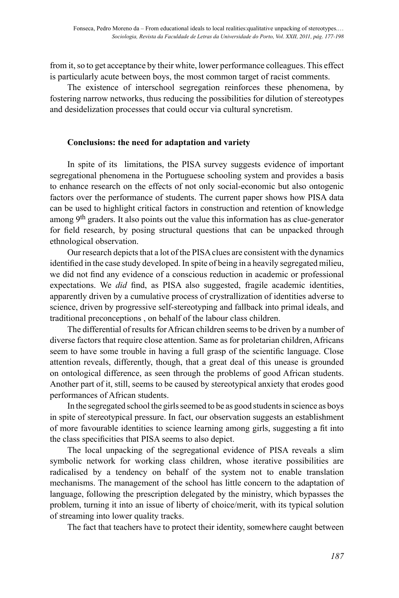from it, so to get acceptance by their white, lower performance colleagues. This effect is particularly acute between boys, the most common target of racist comments.

The existence of interschool segregation reinforces these phenomena, by fostering narrow networks, thus reducing the possibilities for dilution of stereotypes and desidelization processes that could occur via cultural syncretism.

## **Conclusions: the need for adaptation and variety**

In spite of its limitations, the PISA survey suggests evidence of important segregational phenomena in the Portuguese schooling system and provides a basis to enhance research on the effects of not only social-economic but also ontogenic factors over the performance of students. The current paper shows how PISA data can be used to highlight critical factors in construction and retention of knowledge among 9<sup>th</sup> graders. It also points out the value this information has as clue-generator for field research, by posing structural questions that can be unpacked through ethnological observation.

Our research depicts that a lot of the PISA clues are consistent with the dynamics identified in the case study developed. In spite of being in a heavily segregated milieu, we did not find any evidence of a conscious reduction in academic or professional expectations. We *did* find, as PISA also suggested, fragile academic identities, apparently driven by a cumulative process of crystrallization of identities adverse to science, driven by progressive self-stereotyping and fallback into primal ideals, and traditional preconceptions , on behalf of the labour class children.

The differential of results for African children seems to be driven by a number of diverse factors that require close attention. Same as for proletarian children, Africans seem to have some trouble in having a full grasp of the scientific language. Close attention reveals, differently, though, that a great deal of this unease is grounded on ontological difference, as seen through the problems of good African students. Another part of it, still, seems to be caused by stereotypical anxiety that erodes good performances of African students.

In the segregated school the girls seemed to be as good students in science as boys in spite of stereotypical pressure. In fact, our observation suggests an establishment of more favourable identities to science learning among girls, suggesting a fit into the class specificities that PISA seems to also depict.

The local unpacking of the segregational evidence of PISA reveals a slim symbolic network for working class children, whose iterative possibilities are radicalised by a tendency on behalf of the system not to enable translation mechanisms. The management of the school has little concern to the adaptation of language, following the prescription delegated by the ministry, which bypasses the problem, turning it into an issue of liberty of choice/merit, with its typical solution of streaming into lower quality tracks.

The fact that teachers have to protect their identity, somewhere caught between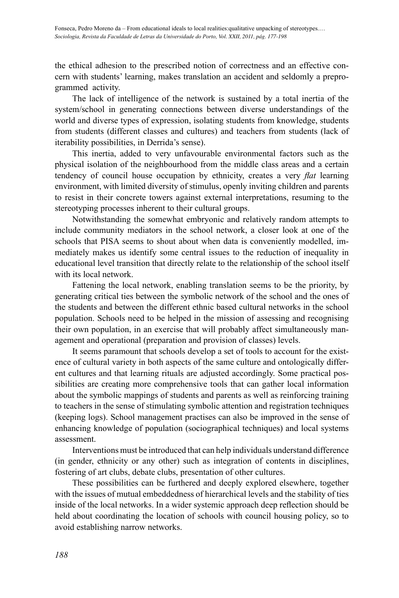the ethical adhesion to the prescribed notion of correctness and an effective concern with students' learning, makes translation an accident and seldomly a preprogrammed activity.

The lack of intelligence of the network is sustained by a total inertia of the system/school in generating connections between diverse understandings of the world and diverse types of expression, isolating students from knowledge, students from students (different classes and cultures) and teachers from students (lack of iterability possibilities, in Derrida's sense).

This inertia, added to very unfavourable environmental factors such as the physical isolation of the neighbourhood from the middle class areas and a certain tendency of council house occupation by ethnicity, creates a very *flat* learning environment, with limited diversity of stimulus, openly inviting children and parents to resist in their concrete towers against external interpretations, resuming to the stereotyping processes inherent to their cultural groups.

Notwithstanding the somewhat embryonic and relatively random attempts to include community mediators in the school network, a closer look at one of the schools that PISA seems to shout about when data is conveniently modelled, immediately makes us identify some central issues to the reduction of inequality in educational level transition that directly relate to the relationship of the school itself with its local network.

Fattening the local network, enabling translation seems to be the priority, by generating critical ties between the symbolic network of the school and the ones of the students and between the different ethnic based cultural networks in the school population. Schools need to be helped in the mission of assessing and recognising their own population, in an exercise that will probably affect simultaneously management and operational (preparation and provision of classes) levels.

It seems paramount that schools develop a set of tools to account for the existence of cultural variety in both aspects of the same culture and ontologically different cultures and that learning rituals are adjusted accordingly. Some practical possibilities are creating more comprehensive tools that can gather local information about the symbolic mappings of students and parents as well as reinforcing training to teachers in the sense of stimulating symbolic attention and registration techniques (keeping logs). School management practises can also be improved in the sense of enhancing knowledge of population (sociographical techniques) and local systems assessment.

Interventions must be introduced that can help individuals understand difference (in gender, ethnicity or any other) such as integration of contents in disciplines, fostering of art clubs, debate clubs, presentation of other cultures.

These possibilities can be furthered and deeply explored elsewhere, together with the issues of mutual embeddedness of hierarchical levels and the stability of ties inside of the local networks. In a wider systemic approach deep reflection should be held about coordinating the location of schools with council housing policy, so to avoid establishing narrow networks.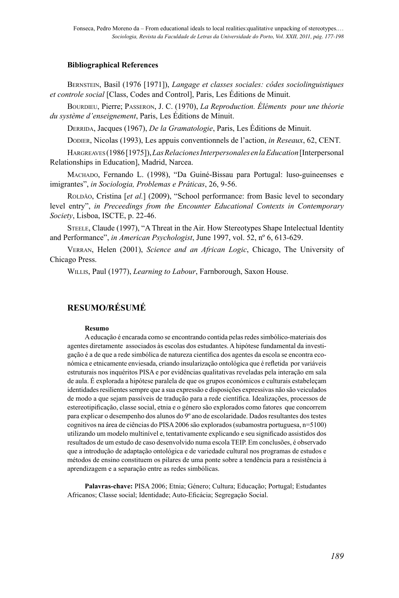#### **Bibliographical References**

BERNSTEIN, Basil (1976 [1971]), *Langage et classes sociales: côdes sociolinguistiques et controle social* [Class, Codes and Control], Paris, Les Éditions de Minuit.

BOURDIEU, Pierre; PASSERON, J. C. (1970), *La Reproduction. Éléments pour une théorie du système d'enseignement*, Paris, Les Éditions de Minuit.

DERRIDA, Jacques (1967), *De la Gramatologie*, Paris, Les Éditions de Minuit.

DODIER, Nicolas (1993), Les appuis conventionnels de l'action, *in Reseaux*, 62, CENT.

HARGREAVES (1986 [1975]), *Las Relaciones Interpersonales en la Education* [Interpersonal Relationships in Education], Madrid, Narcea.

MACHADO, Fernando L. (1998), "Da Guiné-Bissau para Portugal: luso-guineenses e imigrantes", *in Sociologia, Problemas e Práticas*, 26, 9-56.

ROLDÃO, Cristina [*et al.*] (2009), "School performance: from Basic level to secondary level entry", *in Preceedings from the Encounter Educational Contexts in Contemporary Society*, Lisboa, ISCTE, p. 22-46.

STEELE, Claude (1997), "A Threat in the Air. How Stereotypes Shape Intelectual Identity and Performance", *in American Psychologist*, June 1997, vol. 52, nº 6, 613-629.

VERRAN, Helen (2001), *Science and an African Logic*, Chicago, The University of Chicago Press.

WILLIS, Paul (1977), *Learning to Labour*, Farnborough, Saxon House.

# **RESUMO/RÉSUMÉ**

#### **Resumo**

A educação é encarada como se encontrando contida pelas redes simbólico-materiais dos agentes diretamente associados às escolas dos estudantes. A hipótese fundamental da investigação é a de que a rede simbólica de natureza científica dos agentes da escola se encontra económica e etnicamente enviesada, criando insularização ontológica que é refletida por variáveis estruturais nos inquéritos PISA e por evidências qualitativas reveladas pela interação em sala de aula. É explorada a hipótese paralela de que os grupos económicos e culturais estabeleçam identidades resilientes sempre que a sua expressão e disposições expressivas não são veiculados de modo a que sejam passíveis de tradução para a rede científica. Idealizações, processos de estereotipificação, classe social, etnia e o género são explorados como fatores que concorrem para explicar o desempenho dos alunos do 9º ano de escolaridade. Dados resultantes dos testes cognitivos na área de ciências do PISA 2006 são explorados (subamostra portuguesa, n=5100) utilizando um modelo multinível e, tentativamente explicando e seu significado assistidos dos resultados de um estudo de caso desenvolvido numa escola TEIP. Em conclusões, é observado que a introdução de adaptação ontológica e de variedade cultural nos programas de estudos e métodos de ensino constituem os pilares de uma ponte sobre a tendência para a resistência à aprendizagem e a separação entre as redes simbólicas.

**Palavras-chave:** PISA 2006; Etnia; Género; Cultura; Educação; Portugal; Estudantes Africanos; Classe social; Identidade; Auto-Eficácia; Segregação Social.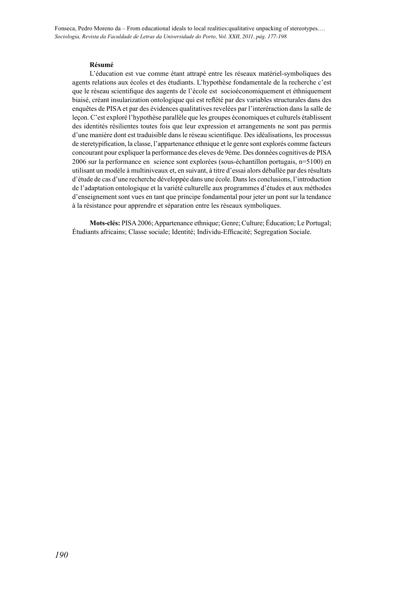Fonseca, Pedro Moreno da – From educational ideals to local realities:qualitative unpacking of stereotypes.… *Sociologia, Revista da Faculdade de Letras da Universidade do Porto, Vol. XXII, 2011, pág. 177-198*

#### **Résumé**

L'éducation est vue comme étant attrapé entre les réseaux matériel-symboliques des agents relations aux écoles et des étudiants. L'hypothèse fondamentale de la recherche c'est que le réseau scientifique des aagents de l'école est socioéconomiquement et éthniquement biaisé, créant insularization ontologique qui est reflété par des variables structurales dans des enquêtes de PISA et par des évidences qualitatives revelées par l'interéraction dans la salle de leçon. C'est exploré l'hypothèse parallèle que les groupes économiques et culturels établissent des identités résilientes toutes fois que leur expression et arrangements ne sont pas permis d'une manière dont est traduisible dans le réseau scientifique. Des idéalisations, les processus de steretypification, la classe, l'appartenance ethnique et le genre sont explorés comme facteurs concourant pour expliquer la performance des eleves de 9ème. Des données cognitives de PISA 2006 sur la performance en science sont explorées (sous-échantillon portugais, n=5100) en utilisant un modèle à multiniveaux et, en suivant, à titre d'essai alors déballée par des résultats d'étude de cas d'une recherche développée dans une école. Dans les conclusions, l'introduction de l'adaptation ontologique et la variété culturelle aux programmes d'études et aux méthodes d'enseignement sont vues en tant que principe fondamental pour jeter un pont sur la tendance à la résistance pour apprendre et séparation entre les réseaux symboliques.

**Mots-clés:** PISA 2006; Appartenance ethnique; Genre; Culture; Éducation; Le Portugal; Étudiants africains; Classe sociale; Identité; Individu-Efficacité; Segregation Sociale.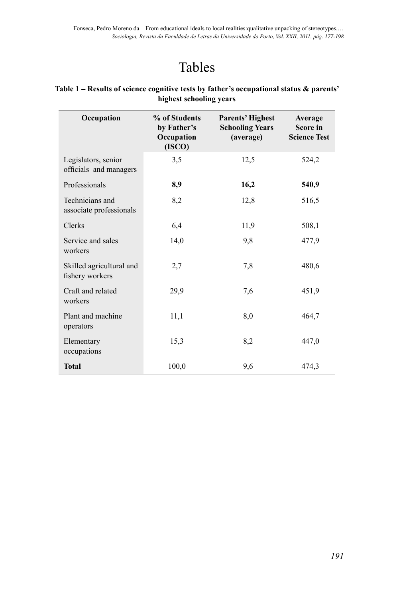# Tables

| Occupation                                    | % of Students<br>by Father's<br>Occupation<br>(ISCO) | <b>Parents' Highest</b><br><b>Schooling Years</b><br>(average) | Average<br>Score in<br><b>Science Test</b> |
|-----------------------------------------------|------------------------------------------------------|----------------------------------------------------------------|--------------------------------------------|
| Legislators, senior<br>officials and managers | 3,5                                                  | 12,5                                                           | 524,2                                      |
| Professionals                                 | 8,9                                                  | 16,2                                                           | 540,9                                      |
| Technicians and<br>associate professionals    | 8,2                                                  | 12,8                                                           | 516,5                                      |
| Clerks                                        | 6,4                                                  | 11,9                                                           | 508,1                                      |
| Service and sales<br>workers                  | 14,0                                                 | 9,8                                                            | 477.9                                      |
| Skilled agricultural and<br>fishery workers   | 2,7                                                  | 7,8                                                            | 480,6                                      |
| Craft and related<br>workers                  | 29,9                                                 | 7,6                                                            | 451,9                                      |
| Plant and machine<br>operators                | 11,1                                                 | 8,0                                                            | 464,7                                      |
| Elementary<br>occupations                     | 15,3                                                 | 8,2                                                            | 447,0                                      |
| <b>Total</b>                                  | 100,0                                                | 9,6                                                            | 474,3                                      |

## **Table 1 – Results of science cognitive tests by father's occupational status & parents' highest schooling years**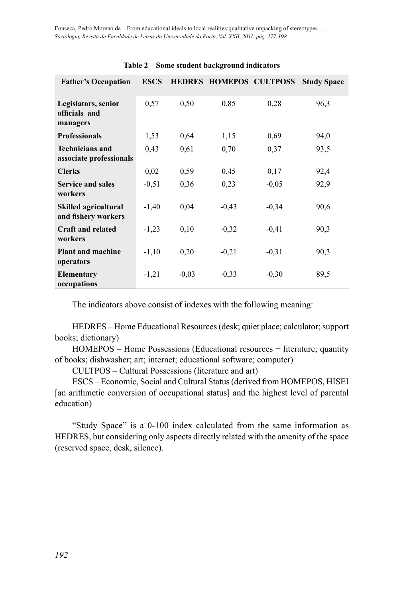| <b>Father's Occupation</b>                         | <b>ESCS</b> |         |         | HEDRES HOMEPOS CULTPOSS | <b>Study Space</b> |
|----------------------------------------------------|-------------|---------|---------|-------------------------|--------------------|
|                                                    |             |         |         |                         |                    |
| Legislators, senior                                | 0.57        | 0.50    | 0.85    | 0,28                    | 96,3               |
| officials and                                      |             |         |         |                         |                    |
| managers                                           |             |         |         |                         |                    |
| <b>Professionals</b>                               | 1,53        | 0.64    | 1,15    | 0.69                    | 94,0               |
| <b>Technicians and</b>                             | 0.43        | 0.61    | 0,70    | 0,37                    | 93,5               |
| associate professionals                            |             |         |         |                         |                    |
| <b>Clerks</b>                                      | 0,02        | 0,59    | 0,45    | 0,17                    | 92,4               |
| <b>Service and sales</b>                           | $-0,51$     | 0,36    | 0,23    | $-0.05$                 | 92,9               |
| workers                                            |             |         |         |                         |                    |
| <b>Skilled agricultural</b><br>and fishery workers | $-1,40$     | 0.04    | $-0,43$ | $-0,34$                 | 90,6               |
| <b>Craft and related</b><br>workers                | $-1,23$     | 0,10    | $-0.32$ | $-0.41$                 | 90,3               |
| <b>Plant and machine</b><br>operators              | $-1,10$     | 0,20    | $-0.21$ | $-0.31$                 | 90,3               |
| <b>Elementary</b><br>occupations                   | $-1,21$     | $-0.03$ | $-0,33$ | $-0,30$                 | 89,5               |

#### **Table 2 – Some student background indicators**

The indicators above consist of indexes with the following meaning:

HEDRES – Home Educational Resources (desk; quiet place; calculator; support books; dictionary)

HOMEPOS – Home Possessions (Educational resources + literature; quantity of books; dishwasher; art; internet; educational software; computer)

CULTPOS – Cultural Possessions (literature and art)

ESCS – Economic, Social and Cultural Status (derived from HOMEPOS, HISEI [an arithmetic conversion of occupational status] and the highest level of parental education)

"Study Space" is a 0-100 index calculated from the same information as HEDRES, but considering only aspects directly related with the amenity of the space (reserved space, desk, silence).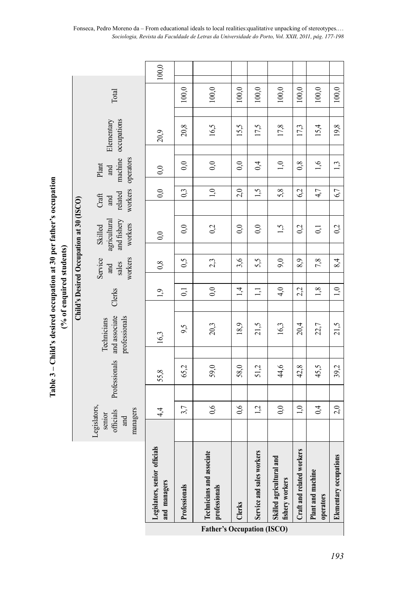Table 3 - Child's desired occupation at 30 per father's occupation **– Child's desired occupation at 30 per father's occupation**  (% of enquired students) **(% of enquired students)**

|                                         |                                                        | and managers                      | Professionals  | professionals<br><b>Father's Occupation (ISCO)</b> | Clerks |                           | fishery workers          |                           | Plant and machine<br>operators |                        |  |
|-----------------------------------------|--------------------------------------------------------|-----------------------------------|----------------|----------------------------------------------------|--------|---------------------------|--------------------------|---------------------------|--------------------------------|------------------------|--|
|                                         |                                                        | als<br>Legislators, senior offici |                | یو<br>Technicians and associat                     |        | Service and sales workers | Skilled agricultural and | Craft and related workers |                                | Elementary occupations |  |
|                                         | Legislators,<br>managers<br>officials<br>senior<br>and |                                   |                |                                                    |        |                           |                          |                           |                                |                        |  |
|                                         |                                                        | $4\overline{4}$                   | 3,7            | 0,6                                                | 0,6    | 1,2                       | 0,0                      | 1,0                       | 0,4                            | 2,0                    |  |
|                                         |                                                        |                                   |                |                                                    |        |                           |                          |                           |                                |                        |  |
|                                         | Professionals                                          | 55,8                              | 65,2           | 59,0                                               | 58,0   | 51,2                      | 44,6                     | 42,8                      | 45,5                           | 39,2                   |  |
|                                         | and associate<br>professionals<br>Technicians          | 16,3                              | 9,5            | 20,3                                               | 18,9   | 21,5                      | 16,3                     | 20,4                      | 22,7                           | 21,5                   |  |
|                                         | Clerks                                                 | $\overline{1}$                    | $\overline{0}$ | 0,0                                                | 1,4    | $\overline{a}$            | 4,0                      | 2,2                       | 1,8                            | 1,0                    |  |
| Child's Desired Occupation at 30 (ISCO) | workers<br>Service<br>sales<br>and                     | 0,8                               | 0,5            | 2,3                                                | 3,6    | 5,5                       | 9,0                      | 8.9                       | 7,8                            | 8,4                    |  |
|                                         | and fishery<br>agricultural<br>workers<br>Skilled      | 0,0                               |                |                                                    |        |                           |                          |                           |                                |                        |  |
|                                         |                                                        |                                   | 0,0            | 0 <sup>2</sup>                                     | 0,0    | 0,0                       | 1,5                      | 0 <sup>2</sup>            | $\overline{0}$                 | 0 <sup>2</sup>         |  |
|                                         | workers<br>related<br>Craft<br>and                     | 0,0                               | 0 <sub>3</sub> | 1,0                                                | 2,0    | 1,5                       | 5,8                      | 62                        | 4 <sub>7</sub>                 | 6,7                    |  |
|                                         | machine<br>operators<br>Plant<br>and                   | 0,0                               | 0,0            | 0,0                                                | 0,0    | 0,4                       | 1,0                      | 0,8                       | 1,6                            | 1 <sup>3</sup>         |  |
|                                         | occupations<br>Elementary                              | 20,9                              | 20,8           | 16,5                                               | 15,5   | 17,5                      | 17,8                     | 17,3                      | 15,4                           | 19,8                   |  |
|                                         | Total                                                  |                                   | 100,0          | $100,0$                                            | 100,0  | 100,0                     | 100,0                    | 100,0                     | 100,0                          | 100,0                  |  |
|                                         |                                                        | $100,0$                           |                |                                                    |        |                           |                          |                           |                                |                        |  |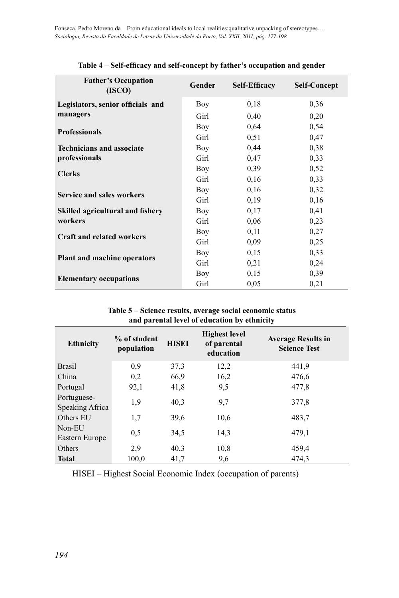| <b>Father's Occupation</b><br>(ISCO)    | Gender     | <b>Self-Efficacy</b> | <b>Self-Concept</b> |
|-----------------------------------------|------------|----------------------|---------------------|
| Legislators, senior officials and       | Boy        | 0,18                 | 0,36                |
| managers                                | Girl       | 0,40                 | 0,20                |
| <b>Professionals</b>                    | <b>Boy</b> | 0.64                 | 0.54                |
|                                         | Girl       | 0.51                 | 0,47                |
| <b>Technicians and associate</b>        | Boy        | 0,44                 | 0,38                |
| professionals                           | Girl       | 0,47                 | 0,33                |
| <b>Clerks</b>                           | Boy        | 0,39                 | 0,52                |
|                                         | Girl       | 0,16                 | 0,33                |
| <b>Service and sales workers</b>        | Boy        | 0.16                 | 0.32                |
|                                         | Girl       | 0.19                 | 0,16                |
| <b>Skilled agricultural and fishery</b> | Boy        | 0,17                 | 0,41                |
| workers                                 | Girl       | 0,06                 | 0,23                |
| <b>Craft and related workers</b>        | Boy        | 0,11                 | 0,27                |
|                                         | Girl       | 0,09                 | 0,25                |
| <b>Plant and machine operators</b>      | Boy        | 0,15                 | 0.33                |
|                                         | Girl       | 0,21                 | 0,24                |
|                                         | Boy        | 0,15                 | 0,39                |
| <b>Elementary occupations</b>           | Girl       | 0,05                 | 0,21                |

#### **Table 4 – Self-efficacy and self-concept by father's occupation and gender**

**Table 5 – Science results, average social economic status and parental level of education by ethnicity**

| <b>Ethnicity</b>               | % of student<br>population | <b>HISEI</b> | <b>Highest level</b><br>of parental<br>education | <b>Average Results in</b><br><b>Science Test</b> |
|--------------------------------|----------------------------|--------------|--------------------------------------------------|--------------------------------------------------|
| <b>Brasil</b>                  | 0,9                        | 37,3         | 12,2                                             | 441,9                                            |
| China                          | 0,2                        | 66,9         | 16,2                                             | 476,6                                            |
| Portugal                       | 92,1                       | 41,8         | 9,5                                              | 477,8                                            |
| Portuguese-<br>Speaking Africa | 1,9                        | 40,3         | 9,7                                              | 377,8                                            |
| Others EU                      | 1,7                        | 39,6         | 10.6                                             | 483,7                                            |
| Non-EU<br>Eastern Europe       | 0,5                        | 34,5         | 14,3                                             | 479.1                                            |
| Others                         | 2.9                        | 40,3         | 10,8                                             | 459,4                                            |
| <b>Total</b>                   | 100,0                      | 41,7         | 9,6                                              | 474,3                                            |

HISEI – Highest Social Economic Index (occupation of parents)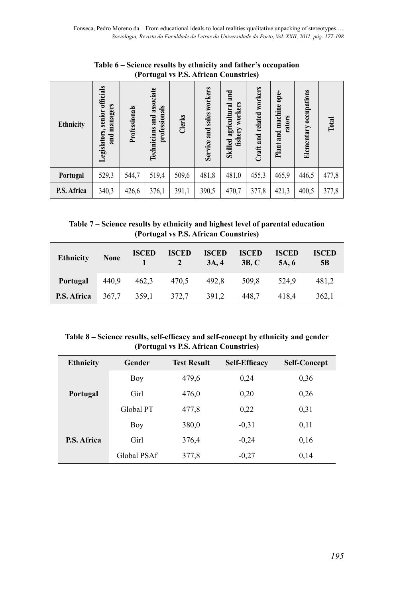|                  | $\mu$ of tugar vs 1.5. All it an Counstrition    |               |                                            |        |                           |                                                |                           |                                  |                           |       |
|------------------|--------------------------------------------------|---------------|--------------------------------------------|--------|---------------------------|------------------------------------------------|---------------------------|----------------------------------|---------------------------|-------|
| <b>Ethnicity</b> | senior officials<br>and managers<br>Legislators, | Professionals | Technicians and associate<br>professionals | Clerks | Service and sales workers | and<br>fishery workers<br>Skilled agricultural | Craft and related workers | Plant and machine ope-<br>rators | occupations<br>Elementary | Total |
| Portugal         | 529,3                                            | 544,7         | 519,4                                      | 509,6  | 481,8                     | 481,0                                          | 455,3                     | 465,9                            | 446,5                     | 477,8 |
| P.S. Africa      | 340,3                                            | 426,6         | 376,1                                      | 391,1  | 390,5                     | 470.7                                          | 377,8                     | 421,3                            | 400,5                     | 377,8 |

**Table 6 – Science results by ethnicity and father's occupation (Portugal vs P.S. African Counstries)**

**Table 7 – Science results by ethnicity and highest level of parental education (Portugal vs P.S. African Counstries)**

| Ethnicity   | None | <b>ISCED</b>            | <b>ISCED</b><br>$1 \t 2 \t 3A, 4$ | <b>ISCED</b> | <b>ISCED</b><br>3B.C                | <b>ISCED</b><br>5A.6 | <b>ISCED</b><br>5B |
|-------------|------|-------------------------|-----------------------------------|--------------|-------------------------------------|----------------------|--------------------|
| Portugal    |      |                         |                                   |              | 440,9 462,3 470,5 492,8 509,8 524,9 |                      | 481.2              |
| P.S. Africa |      | 367,7 359,1 372,7 391,2 |                                   |              | 448.7                               | 418.4                | 362.1              |

**Table 8 – Science results, self-efficacy and self-concept by ethnicity and gender (Portugal vs P.S. African Counstries)**

| <b>Ethnicity</b>   | Gender      | <b>Test Result</b> | <b>Self-Efficacy</b> | <b>Self-Concept</b> |
|--------------------|-------------|--------------------|----------------------|---------------------|
|                    | Boy         | 479,6              | 0.24                 | 0.36                |
| Portugal           | Girl        | 476,0              | 0,20                 | 0.26                |
|                    | Global PT   | 477,8              | 0.22                 | 0.31                |
|                    | Boy         | 380,0              | $-0.31$              | 0.11                |
| <b>P.S. Africa</b> | Girl        | 376,4              | $-0.24$              | 0,16                |
|                    | Global PSAf | 377,8              | $-0.27$              | 0,14                |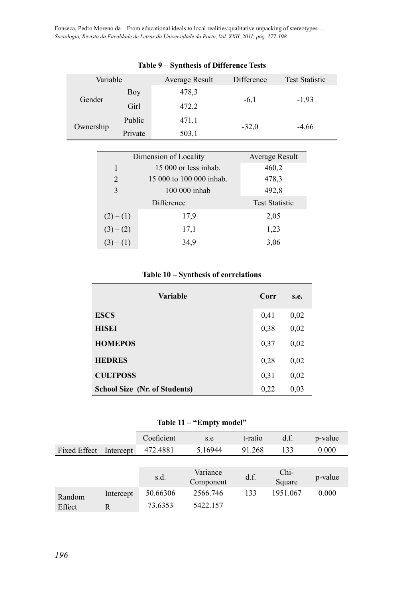Fonseca, Pedro Moreno da – From educational ideals to local realities:qualitative unpacking of stereotypes.… *Sociologia, Revista da Faculdade de Letras da Universidade do Porto, Vol. XXII, 2011, pág. 177-198*

| $\frac{1}{2}$ |         |                |            |                       |  |  |  |  |  |
|---------------|---------|----------------|------------|-----------------------|--|--|--|--|--|
| Variable      |         | Average Result | Difference | <b>Test Statistic</b> |  |  |  |  |  |
| Gender        | Boy     | 478,3          |            |                       |  |  |  |  |  |
|               | Girl    | 472,2          | $-6,1$     | $-1,93$               |  |  |  |  |  |
|               | Public  | 471,1          | $-32.0$    | $-4,66$               |  |  |  |  |  |
| Ownership     | Private | 503,1          |            |                       |  |  |  |  |  |

#### **Table 9 – Synthesis of Difference Tests**

| Dimension of Locality | Average Result           |                       |
|-----------------------|--------------------------|-----------------------|
| 1                     | $15000$ or less inhab.   | 460,2                 |
| $\mathfrak{D}$        | 15 000 to 100 000 inhab. | 478,3                 |
| $\mathcal{E}$         | 100 000 inhab            | 492,8                 |
|                       | Difference               | <b>Test Statistic</b> |
| $(2)-(1)$             | 17.9                     | 2,05                  |
| $(3)-(2)$             | 17,1                     | 1,23                  |
| $(3)-(1)$             | 34,9                     | 3,06                  |

## **Table 10 – Synthesis of correlations**

| <b>Variable</b>               | Corr | s.e. |
|-------------------------------|------|------|
| <b>ESCS</b>                   | 0.41 | 0,02 |
| <b>HISEI</b>                  | 0,38 | 0,02 |
| <b>HOMEPOS</b>                | 0.37 | 0,02 |
| <b>HEDRES</b>                 | 0.28 | 0,02 |
| <b>CULTPOSS</b>               | 0.31 | 0.02 |
| School Size (Nr. of Students) | 0,22 | 0,03 |

## **Table 11 – "Empty model"**

|                     |           | Coeficient | s.e       | t-ratio | df.      | p-value |
|---------------------|-----------|------------|-----------|---------|----------|---------|
| <b>Fixed Effect</b> | Intercept | 472.4881   | 5.16944   | 91.268  | 133      | 0.000   |
|                     |           |            |           |         |          |         |
|                     |           | s.d.       | Variance  | d.f.    | $Chi-$   | p-value |
|                     |           |            | Component |         | Square   |         |
| Random<br>Effect    | Intercept | 50.66306   | 2566.746  | 133     | 1951.067 | 0.000   |
|                     | R         | 73.6353    | 5422.157  |         |          |         |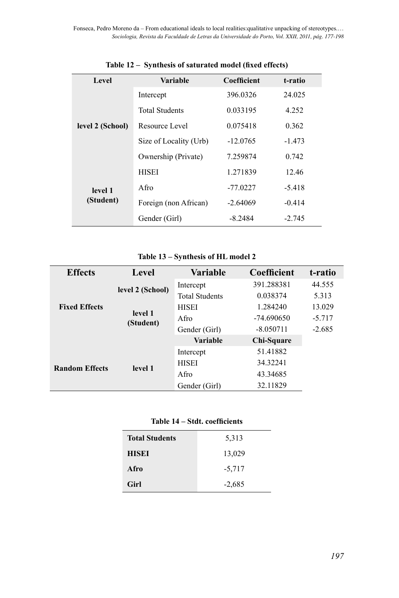| Level                | Variable               | Coefficient | t-ratio  |  |
|----------------------|------------------------|-------------|----------|--|
| level 2 (School)     | Intercept              | 396.0326    | 24.025   |  |
|                      | Total Students         | 0.033195    | 4.252    |  |
|                      | Resource Level         | 0.075418    | 0.362    |  |
|                      | Size of Locality (Urb) | $-12.0765$  | $-1.473$ |  |
|                      | Ownership (Private)    | 7.259874    | 0.742    |  |
|                      | <b>HISEI</b>           | 1.271839    | 12.46    |  |
| level 1<br>(Student) | Afro                   | $-77.0227$  | $-5.418$ |  |
|                      | Foreign (non African)  | $-2.64069$  | $-0.414$ |  |
|                      | Gender (Girl)          | $-8.2484$   | $-2.745$ |  |

**Table 12 – Synthesis of saturated model (fixed effects)**

## **Table 13 – Synthesis of HL model 2**

| <b>Effects</b>        | Level                | Variable              | Coefficient  | t-ratio  |
|-----------------------|----------------------|-----------------------|--------------|----------|
| <b>Fixed Effects</b>  | level 2 (School)     | Intercept             | 391.288381   | 44.555   |
|                       |                      | <b>Total Students</b> | 0.038374     | 5.313    |
|                       | level 1<br>(Student) | <b>HISEI</b>          | 1.284240     | 13.029   |
|                       |                      | Afro                  | $-74.690650$ | $-5.717$ |
|                       |                      | Gender (Girl)         | $-8.050711$  | $-2.685$ |
|                       |                      | <b>Variable</b>       | Chi-Square   |          |
| <b>Random Effects</b> | level 1              | Intercept             | 51.41882     |          |
|                       |                      | <b>HISEI</b>          | 34.32241     |          |
|                       |                      | Afro                  | 43.34685     |          |
|                       |                      | Gender (Girl)         | 32.11829     |          |

| Table 14 – Stdt. coefficients |
|-------------------------------|
|-------------------------------|

| <b>Total Students</b> | 5,313    |
|-----------------------|----------|
| <b>HISEI</b>          | 13,029   |
| Afro                  | $-5,717$ |
| Girl                  | $-2,685$ |